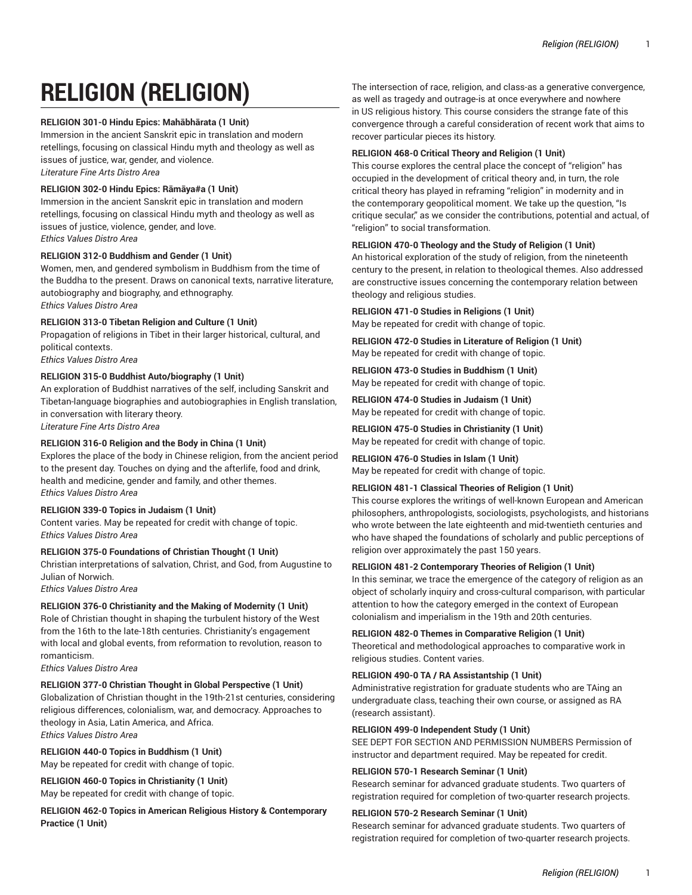# **RELIGION (RELIGION)**

# **RELIGION 301-0 Hindu Epics: Mahābhārata (1 Unit)**

Immersion in the ancient Sanskrit epic in translation and modern retellings, focusing on classical Hindu myth and theology as well as issues of justice, war, gender, and violence. *Literature Fine Arts Distro Area*

# **RELIGION 302-0 Hindu Epics: Rāmāya#a (1 Unit)**

Immersion in the ancient Sanskrit epic in translation and modern retellings, focusing on classical Hindu myth and theology as well as issues of justice, violence, gender, and love. *Ethics Values Distro Area*

# **RELIGION 312-0 Buddhism and Gender (1 Unit)**

Women, men, and gendered symbolism in Buddhism from the time of the Buddha to the present. Draws on canonical texts, narrative literature, autobiography and biography, and ethnography. *Ethics Values Distro Area*

# **RELIGION 313-0 Tibetan Religion and Culture (1 Unit)**

Propagation of religions in Tibet in their larger historical, cultural, and political contexts. *Ethics Values Distro Area*

# **RELIGION 315-0 Buddhist Auto/biography (1 Unit)**

An exploration of Buddhist narratives of the self, including Sanskrit and Tibetan-language biographies and autobiographies in English translation, in conversation with literary theory.

*Literature Fine Arts Distro Area*

# **RELIGION 316-0 Religion and the Body in China (1 Unit)**

Explores the place of the body in Chinese religion, from the ancient period to the present day. Touches on dying and the afterlife, food and drink, health and medicine, gender and family, and other themes. *Ethics Values Distro Area*

# **RELIGION 339-0 Topics in Judaism (1 Unit)**

Content varies. May be repeated for credit with change of topic. *Ethics Values Distro Area*

#### **RELIGION 375-0 Foundations of Christian Thought (1 Unit)**

Christian interpretations of salvation, Christ, and God, from Augustine to Julian of Norwich.

*Ethics Values Distro Area*

# **RELIGION 376-0 Christianity and the Making of Modernity (1 Unit)**

Role of Christian thought in shaping the turbulent history of the West from the 16th to the late-18th centuries. Christianity's engagement with local and global events, from reformation to revolution, reason to romanticism.

*Ethics Values Distro Area*

# **RELIGION 377-0 Christian Thought in Global Perspective (1 Unit)**

Globalization of Christian thought in the 19th-21st centuries, considering religious differences, colonialism, war, and democracy. Approaches to theology in Asia, Latin America, and Africa. *Ethics Values Distro Area*

#### **RELIGION 440-0 Topics in Buddhism (1 Unit)**

May be repeated for credit with change of topic.

**RELIGION 460-0 Topics in Christianity (1 Unit)** May be repeated for credit with change of topic.

**RELIGION 462-0 Topics in American Religious History & Contemporary Practice (1 Unit)** 

The intersection of race, religion, and class-as a generative convergence, as well as tragedy and outrage-is at once everywhere and nowhere in US religious history. This course considers the strange fate of this convergence through a careful consideration of recent work that aims to recover particular pieces its history.

# **RELIGION 468-0 Critical Theory and Religion (1 Unit)**

This course explores the central place the concept of "religion" has occupied in the development of critical theory and, in turn, the role critical theory has played in reframing "religion" in modernity and in the contemporary geopolitical moment. We take up the question, "Is critique secular," as we consider the contributions, potential and actual, of "religion" to social transformation.

#### **RELIGION 470-0 Theology and the Study of Religion (1 Unit)**

An historical exploration of the study of religion, from the nineteenth century to the present, in relation to theological themes. Also addressed are constructive issues concerning the contemporary relation between theology and religious studies.

#### **RELIGION 471-0 Studies in Religions (1 Unit)**

May be repeated for credit with change of topic.

**RELIGION 472-0 Studies in Literature of Religion (1 Unit)**  May be repeated for credit with change of topic.

**RELIGION 473-0 Studies in Buddhism (1 Unit)**  May be repeated for credit with change of topic.

# **RELIGION 474-0 Studies in Judaism (1 Unit)**

May be repeated for credit with change of topic.

# **RELIGION 475-0 Studies in Christianity (1 Unit)**

May be repeated for credit with change of topic.

#### **RELIGION 476-0 Studies in Islam (1 Unit)**

May be repeated for credit with change of topic.

#### **RELIGION 481-1 Classical Theories of Religion (1 Unit)**

This course explores the writings of well-known European and American philosophers, anthropologists, sociologists, psychologists, and historians who wrote between the late eighteenth and mid-twentieth centuries and who have shaped the foundations of scholarly and public perceptions of religion over approximately the past 150 years.

#### **RELIGION 481-2 Contemporary Theories of Religion (1 Unit)**

In this seminar, we trace the emergence of the category of religion as an object of scholarly inquiry and cross-cultural comparison, with particular attention to how the category emerged in the context of European colonialism and imperialism in the 19th and 20th centuries.

#### **RELIGION 482-0 Themes in Comparative Religion (1 Unit)**

Theoretical and methodological approaches to comparative work in religious studies. Content varies.

# **RELIGION 490-0 TA / RA Assistantship (1 Unit)**

Administrative registration for graduate students who are TAing an undergraduate class, teaching their own course, or assigned as RA (research assistant).

#### **RELIGION 499-0 Independent Study (1 Unit)**

SEE DEPT FOR SECTION AND PERMISSION NUMBERS Permission of instructor and department required. May be repeated for credit.

#### **RELIGION 570-1 Research Seminar (1 Unit)**

Research seminar for advanced graduate students. Two quarters of registration required for completion of two-quarter research projects.

#### **RELIGION 570-2 Research Seminar (1 Unit)**

Research seminar for advanced graduate students. Two quarters of registration required for completion of two-quarter research projects.